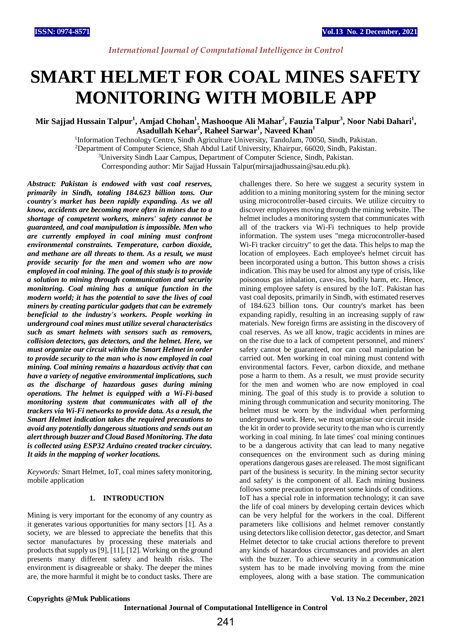# **SMART HELMET FOR COAL MINES SAFETY MONITORING WITH MOBILE APP**

**Mir Sajjad Hussain Talpur<sup>1</sup> , Amjad Chohan<sup>1</sup> , Mashooque Ali Mahar<sup>2</sup> , Fauzia Talpur<sup>3</sup> , Noor Nabi Dahari<sup>1</sup> , Asadullah Kehar<sup>2</sup> , Raheel Sarwar<sup>1</sup> , Naveed Khan<sup>1</sup>**

<sup>1</sup>Information Technology Centre, Sindh Agriculture University, TandoJam, 70050, Sindh, Pakistan. <sup>2</sup>Department of Computer Science, Shah Abdul Latif University, Khairpur, 66020, Sindh, Pakistan. <sup>3</sup>University Sindh Laar Campus, Department of Computer Science, Sindh, Pakistan.

Corresponding author: Mir Sajjad Hussain Talpur(mirsajjadhussain@sau.edu.pk).

*Abstract: Pakistan is endowed with vast coal reserves, primarily in Sindh, totaling 184.623 billion tons. Our country's market has been rapidly expanding. As we all know, accidents are becoming more often in mines due to a shortage of competent workers, miners' safety cannot be guaranteed, and coal manipulation is impossible. Men who are currently employed in coal mining must confront environmental constraints. Temperature, carbon dioxide, and methane are all threats to them. As a result, we must provide security for the men and women who are now employed in coal mining. The goal of this study is to provide a solution to mining through communication and security monitoring. Coal mining has a unique function in the modern world; it has the potential to save the lives of coal miners by creating particular gadgets that can be extremely beneficial to the industry's workers. People working in underground coal mines must utilize several characteristics such as smart helmets with sensors such as removers, collision detectors, gas detectors, and the helmet. Here, we must organize our circuit within the Smart Helmet in order to provide security to the man who is now employed in coal mining. Coal mining remains a hazardous activity that can have a variety of negative environmental implications, such as the discharge of hazardous gases during mining operations. The helmet is equipped with a Wi-Fi-based monitoring system that communicates with all of the trackers via Wi-Fi networks to provide data. As a result, the Smart Helmet indication takes the required precautions to avoid any potentially dangerous situations and sends out an alert through buzzer and Cloud Based Monitoring. The data is collected using ESP32 Arduino created tracker circuitry. It aids in the mapping of worker locations.*

*Keywords:* Smart Helmet, IoT, coal mines safety monitoring, mobile application

## **1. INTRODUCTION**

Mining is very important for the economy of any country as it generates various opportunities for many sectors [1]. As a society, we are blessed to appreciate the benefits that this sector manufactures by processing these materials and products that supply us [9], [11], [12]. Working on the ground presents many different safety and health risks. The environment is disagreeable or shaky. The deeper the mines are, the more harmful it might be to conduct tasks. There are challenges there. So here we suggest a security system in addition to a mining monitoring system for the mining sector using microcontroller-based circuits. We utilize circuitry to discover employees moving through the mining website. The helmet includes a monitoring system that communicates with all of the trackers via Wi-Fi techniques to help provide information. The system uses "mega microcontroller-based Wi-Fi tracker circuitry" to get the data. This helps to map the location of employees. Each employee's helmet circuit has been incorporated using a button. This button shows a crisis indication. This may be used for almost any type of crisis, like poisonous gas inhalation, cave-ins, bodily harm, etc. Hence, mining employee safety is ensured by the IoT. Pakistan has vast coal deposits, primarily in Sindh, with estimated reserves of 184.623 billion tons. Our country's market has been expanding rapidly, resulting in an increasing supply of raw materials. New foreign firms are assisting in the discovery of coal reserves. As we all know, tragic accidents in mines are on the rise due to a lack of competent personnel, and miners' safety cannot be guaranteed, nor can coal manipulation be carried out. Men working in coal mining must contend with environmental factors. Fever, carbon dioxide, and methane pose a harm to them. As a result, we must provide security for the men and women who are now employed in coal mining. The goal of this study is to provide a solution to mining through communication and security monitoring. The helmet must be worn by the individual when performing underground work. Here, we must organise our circuit inside the kit in order to provide security to the man who is currently working in coal mining. In late times' coal mining continues to be a dangerous activity that can lead to many negative consequences on the environment such as during mining operations dangerous gases are released. The most significant part of the business is security. In the mining sector security and safety' is the component of all. Each mining business follows some precaution to prevent some kinds of conditions. IoT has a special role in information technology; it can save the life of coal miners by developing certain devices which can be very helpful for the workers in the coal. Different parameters like collisions and helmet remover constantly using detectors like collision detector, gas detector, and Smart Helmet detector to take crucial actions therefore to prevent any kinds of hazardous circumstances and provides an alert with the buzzer. To achieve security in a communication system has to be made involving moving from the mine employees, along with a base station. The communication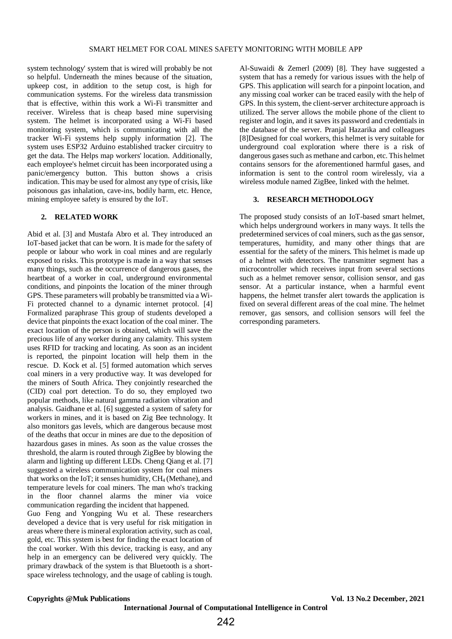system technology' system that is wired will probably be not so helpful. Underneath the mines because of the situation, upkeep cost, in addition to the setup cost, is high for communication systems. For the wireless data transmission that is effective, within this work a Wi-Fi transmitter and receiver. Wireless that is cheap based mine supervising system. The helmet is incorporated using a Wi-Fi based monitoring system, which is communicating with all the tracker Wi-Fi systems help supply information [2]. The system uses ESP32 Arduino established tracker circuitry to get the data. The Helps map workers' location. Additionally, each employee's helmet circuit has been incorporated using a panic/emergency button. This button shows a crisis indication. This may be used for almost any type of crisis, like poisonous gas inhalation, cave-ins, bodily harm, etc. Hence, mining employee safety is ensured by the IoT.

#### **2. RELATED WORK**

Abid et al. [3] and Mustafa Abro et al. They introduced an IoT-based jacket that can be worn. It is made for the safety of people or labour who work in coal mines and are regularly exposed to risks. This prototype is made in a way that senses many things, such as the occurrence of dangerous gases, the heartbeat of a worker in coal, underground environmental conditions, and pinpoints the location of the miner through GPS. These parameters will probably be transmitted via a Wi-Fi protected channel to a dynamic internet protocol. [4] Formalized paraphrase This group of students developed a device that pinpoints the exact location of the coal miner. The exact location of the person is obtained, which will save the precious life of any worker during any calamity. This system uses RFID for tracking and locating. As soon as an incident is reported, the pinpoint location will help them in the rescue. D. Kock et al. [5] formed automation which serves coal miners in a very productive way. It was developed for the miners of South Africa. They conjointly researched the (CID) coal port detection. To do so, they employed two popular methods, like natural gamma radiation vibration and analysis. Gaidhane et al. [6] suggested a system of safety for workers in mines, and it is based on Zig Bee technology. It also monitors gas levels, which are dangerous because most of the deaths that occur in mines are due to the deposition of hazardous gases in mines. As soon as the value crosses the threshold, the alarm is routed through ZigBee by blowing the alarm and lighting up different LEDs. Cheng Qiang et al. [7] suggested a wireless communication system for coal miners that works on the IoT; it senses humidity,  $CH<sub>4</sub>$  (Methane), and temperature levels for coal miners. The man who's tracking in the floor channel alarms the miner via voice communication regarding the incident that happened.

Guo Feng and Yongping Wu et al. These researchers developed a device that is very useful for risk mitigation in areas where there is mineral exploration activity, such as coal, gold, etc. This system is best for finding the exact location of the coal worker. With this device, tracking is easy, and any help in an emergency can be delivered very quickly. The primary drawback of the system is that Bluetooth is a shortspace wireless technology, and the usage of cabling is tough.

Al-Suwaidi & Zemerl (2009) [8]. They have suggested a system that has a remedy for various issues with the help of GPS. This application will search for a pinpoint location, and any missing coal worker can be traced easily with the help of GPS. In this system, the client-server architecture approach is utilized. The server allows the mobile phone of the client to register and login, and it saves its password and credentials in the database of the server. Pranjal Hazarika and colleagues [8]Designed for coal workers, this helmet is very suitable for underground coal exploration where there is a risk of dangerous gases such as methane and carbon, etc. This helmet contains sensors for the aforementioned harmful gases, and information is sent to the control room wirelessly, via a wireless module named ZigBee, linked with the helmet.

## **3. RESEARCH METHODOLOGY**

The proposed study consists of an IoT-based smart helmet, which helps underground workers in many ways. It tells the predetermined services of coal miners, such as the gas sensor, temperatures, humidity, and many other things that are essential for the safety of the miners. This helmet is made up of a helmet with detectors. The transmitter segment has a microcontroller which receives input from several sections such as a helmet remover sensor, collision sensor, and gas sensor. At a particular instance, when a harmful event happens, the helmet transfer alert towards the application is fixed on several different areas of the coal mine. The helmet remover, gas sensors, and collision sensors will feel the corresponding parameters.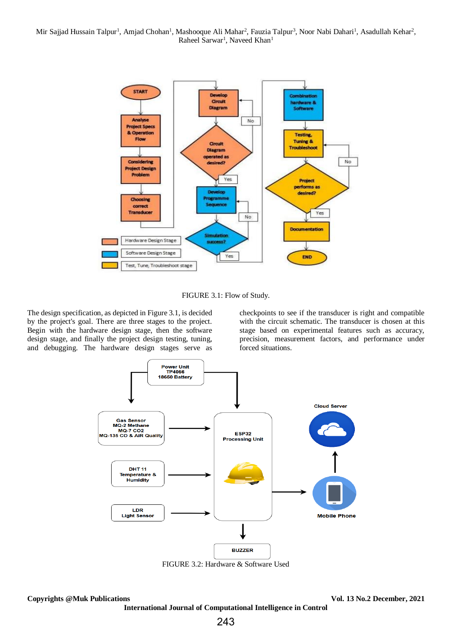

FIGURE 3.1: Flow of Study.

The design specification, as depicted in Figure 3.1, is decided by the project's goal. There are three stages to the project. Begin with the hardware design stage, then the software design stage, and finally the project design testing, tuning, and debugging. The hardware design stages serve as

checkpoints to see if the transducer is right and compatible with the circuit schematic. The transducer is chosen at this stage based on experimental features such as accuracy, precision, measurement factors, and performance under forced situations.



FIGURE 3.2: Hardware & Software Used

**Copyrights @Muk Publications Vol. 13 No.2 December, 2021**

**International Journal of Computational Intelligence in Control**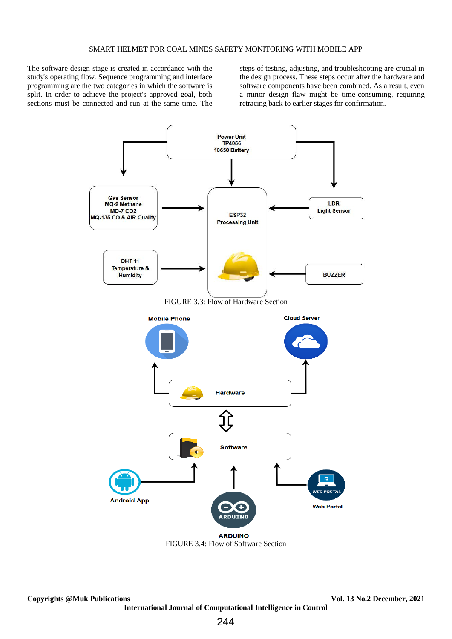The software design stage is created in accordance with the study's operating flow. Sequence programming and interface programming are the two categories in which the software is split. In order to achieve the project's approved goal, both sections must be connected and run at the same time. The

steps of testing, adjusting, and troubleshooting are crucial in the design process. These steps occur after the hardware and software components have been combined. As a result, even a minor design flaw might be time-consuming, requiring retracing back to earlier stages for confirmation.



FIGURE 3.4: Flow of Software Section

**Copyrights @Muk Publications Vol. 13 No.2 December, 2021 International Journal of Computational Intelligence in Control**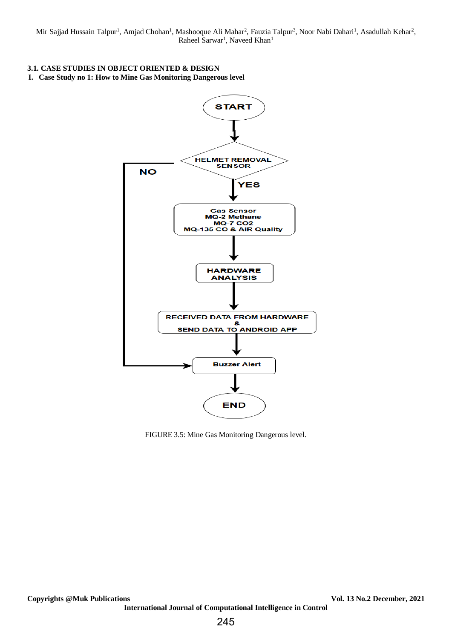# **3.1. CASE STUDIES IN OBJECT ORIENTED & DESIGN**

**I. Case Study no 1: How to Mine Gas Monitoring Dangerous level**



FIGURE 3.5: Mine Gas Monitoring Dangerous level.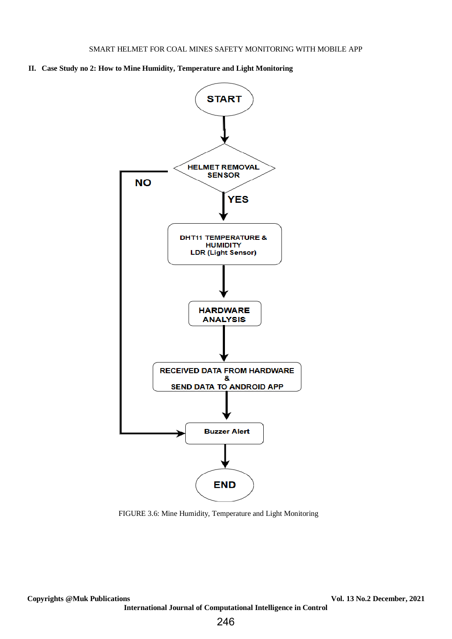**II. Case Study no 2: How to Mine Humidity, Temperature and Light Monitoring**



FIGURE 3.6: Mine Humidity, Temperature and Light Monitoring

**International Journal of Computational Intelligence in Control**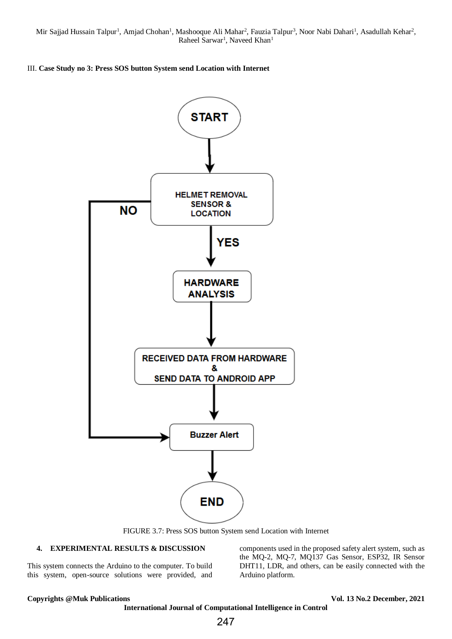## III. **Case Study no 3: Press SOS button System send Location with Internet**



FIGURE 3.7: Press SOS button System send Location with Internet

### **4. EXPERIMENTAL RESULTS & DISCUSSION**

This system connects the Arduino to the computer. To build this system, open-source solutions were provided, and components used in the proposed safety alert system, such as the MQ-2, MQ-7, MQ137 Gas Sensor, ESP32, IR Sensor DHT11, LDR, and others, can be easily connected with the Arduino platform.

**Copyrights @Muk Publications Vol. 13 No.2 December, 2021**

**International Journal of Computational Intelligence in Control**

247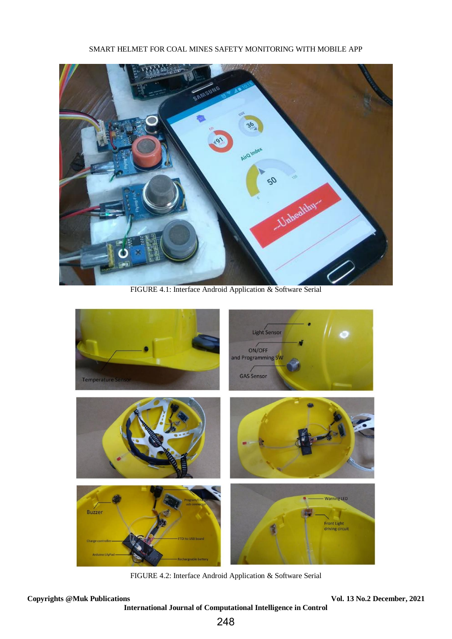# SMART HELMET FOR COAL MINES SAFETY MONITORING WITH MOBILE APP



FIGURE 4.1: Interface Android Application & Software Serial



FIGURE 4.2: Interface Android Application & Software Serial

**Copyrights @Muk Publications Vol. 13 No.2 December, 2021**

**International Journal of Computational Intelligence in Control**

248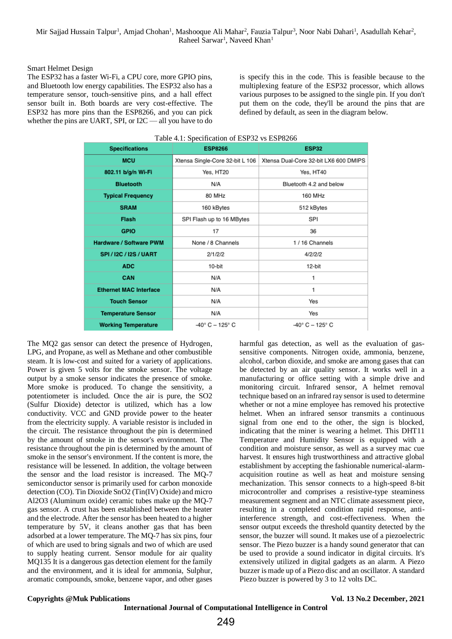#### Smart Helmet Design

The ESP32 has a faster Wi-Fi, a CPU core, more GPIO pins, and Bluetooth low energy capabilities. The ESP32 also has a temperature sensor, touch-sensitive pins, and a hall effect sensor built in. Both boards are very cost-effective. The ESP32 has more pins than the ESP8266, and you can pick whether the pins are UART, SPI, or I2C — all you have to do

is specify this in the code. This is feasible because to the multiplexing feature of the ESP32 processor, which allows various purposes to be assigned to the single pin. If you don't put them on the code, they'll be around the pins that are defined by default, as seen in the diagram below.

| Table 4.1: Specification of ESP32 vs ESP8266 |                                  |                                       |
|----------------------------------------------|----------------------------------|---------------------------------------|
| <b>Specifications</b>                        | <b>ESP8266</b>                   | <b>ESP32</b>                          |
| <b>MCU</b>                                   | Xtensa Single-Core 32-bit L 106  | Xtensa Dual-Core 32-bit LX6 600 DMIPS |
| 802.11 b/g/n Wi-Fi                           | Yes, HT20                        | Yes, HT40                             |
| <b>Bluetooth</b>                             | N/A                              | Bluetooth 4.2 and below               |
| <b>Typical Frequency</b>                     | 80 MHz                           | 160 MHz                               |
| <b>SRAM</b>                                  | 160 kBytes                       | 512 kBytes                            |
| <b>Flash</b>                                 | SPI Flash up to 16 MBytes        | SPI                                   |
| <b>GPIO</b>                                  | 17                               | 36                                    |
| <b>Hardware / Software PWM</b>               | None / 8 Channels                | 1/16 Channels                         |
| <b>SPI/12C/12S/UART</b>                      | 2/1/2/2                          | 4/2/2/2                               |
| <b>ADC</b>                                   | 10-bit                           | 12-bit                                |
| CAN                                          | N/A                              | 1                                     |
| <b>Ethernet MAC Interface</b>                | N/A                              | 1                                     |
| <b>Touch Sensor</b>                          | N/A                              | Yes                                   |
| <b>Temperature Sensor</b>                    | N/A                              | Yes                                   |
| <b>Working Temperature</b>                   | $-40^{\circ}$ C $-125^{\circ}$ C | $-40^{\circ}$ C $-125^{\circ}$ C      |

The MQ2 gas sensor can detect the presence of Hydrogen, LPG, and Propane, as well as Methane and other combustible steam. It is low-cost and suited for a variety of applications. Power is given 5 volts for the smoke sensor. The voltage output by a smoke sensor indicates the presence of smoke. More smoke is produced. To change the sensitivity, a potentiometer is included. Once the air is pure, the SO2 (Sulfur Dioxide) detector is utilized, which has a low conductivity. VCC and GND provide power to the heater from the electricity supply. A variable resistor is included in the circuit. The resistance throughout the pin is determined by the amount of smoke in the sensor's environment. The resistance throughout the pin is determined by the amount of smoke in the sensor's environment. If the content is more, the resistance will be lessened. In addition, the voltage between the sensor and the load resistor is increased. The MQ-7 semiconductor sensor is primarily used for carbon monoxide detection (CO). Tin Dioxide SnO2 (Tin(IV) Oxide) and micro Al2O3 (Aluminum oxide) ceramic tubes make up the MQ-7 gas sensor. A crust has been established between the heater and the electrode. After the sensor has been heated to a higher temperature by 5V, it cleans another gas that has been adsorbed at a lower temperature. The MQ-7 has six pins, four of which are used to bring signals and two of which are used to supply heating current. Sensor module for air quality MQ135 It is a dangerous gas detection element for the family and the environment, and it is ideal for ammonia, Sulphur, aromatic compounds, smoke, benzene vapor, and other gases

harmful gas detection, as well as the evaluation of gassensitive components. Nitrogen oxide, ammonia, benzene, alcohol, carbon dioxide, and smoke are among gases that can be detected by an air quality sensor. It works well in a manufacturing or office setting with a simple drive and monitoring circuit. Infrared sensor, A helmet removal technique based on an infrared ray sensor is used to determine whether or not a mine employee has removed his protective helmet. When an infrared sensor transmits a continuous signal from one end to the other, the sign is blocked, indicating that the miner is wearing a helmet. This DHT11 Temperature and Humidity Sensor is equipped with a condition and moisture sensor, as well as a survey mac cue harvest. It ensures high trustworthiness and attractive global establishment by accepting the fashionable numerical-alarmacquisition routine as well as heat and moisture sensing mechanization. This sensor connects to a high-speed 8-bit microcontroller and comprises a resistive-type steaminess measurement segment and an NTC climate assessment piece, resulting in a completed condition rapid response, antiinterference strength, and cost-effectiveness. When the sensor output exceeds the threshold quantity detected by the sensor, the buzzer will sound. It makes use of a piezoelectric sensor. The Piezo buzzer is a handy sound generator that can be used to provide a sound indicator in digital circuits. It's extensively utilized in digital gadgets as an alarm. A Piezo buzzer is made up of a Piezo disc and an oscillator. A standard Piezo buzzer is powered by 3 to 12 volts DC.

#### **Copyrights @Muk Publications Vol. 13 No.2 December, 2021**

**International Journal of Computational Intelligence in Control**

249